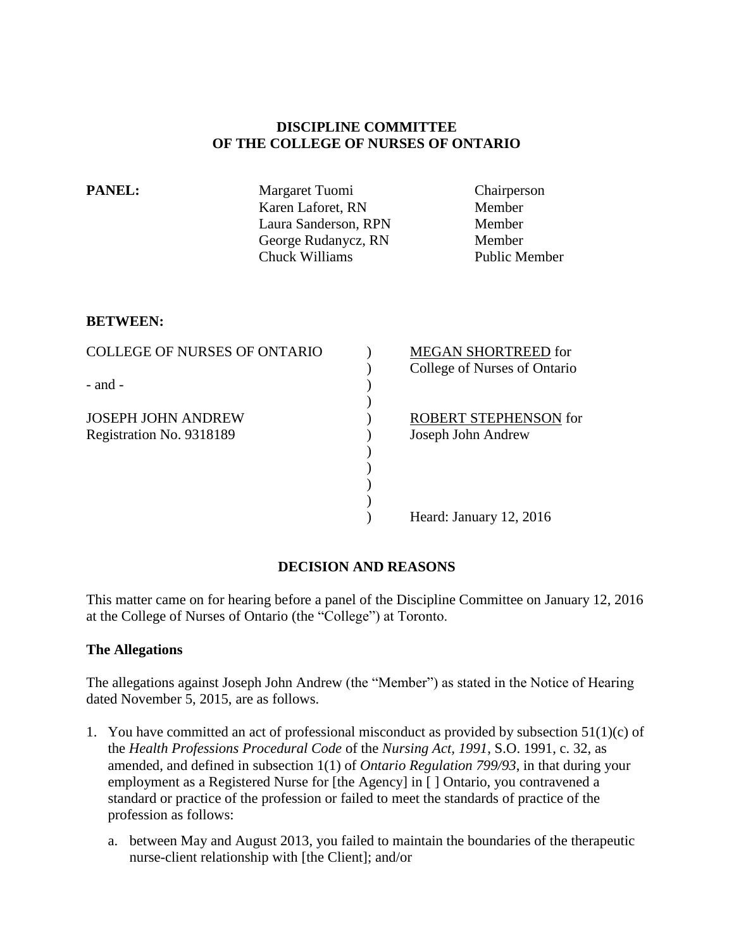### **DISCIPLINE COMMITTEE OF THE COLLEGE OF NURSES OF ONTARIO**

| <b>PANEL:</b> | Margaret Tuomi       | Chairperson          |
|---------------|----------------------|----------------------|
|               | Karen Laforet, RN    | Member               |
|               | Laura Sanderson, RPN | Member               |
|               | George Rudanycz, RN  | Member               |
|               | Chuck Williams       | <b>Public Member</b> |
|               |                      |                      |

### **BETWEEN:**

| College of Nurses of Ontario |
|------------------------------|
|                              |
|                              |
|                              |
| <b>ROBERT STEPHENSON for</b> |
|                              |
|                              |
|                              |
|                              |
|                              |
|                              |
| Heard: January 12, 2016      |

# **DECISION AND REASONS**

This matter came on for hearing before a panel of the Discipline Committee on January 12, 2016 at the College of Nurses of Ontario (the "College") at Toronto.

### **The Allegations**

The allegations against Joseph John Andrew (the "Member") as stated in the Notice of Hearing dated November 5, 2015, are as follows.

- 1. You have committed an act of professional misconduct as provided by subsection 51(1)(c) of the *Health Professions Procedural Code* of the *Nursing Act, 1991*, S.O. 1991, c. 32, as amended, and defined in subsection 1(1) of *Ontario Regulation 799/93*, in that during your employment as a Registered Nurse for [the Agency] in [ ] Ontario, you contravened a standard or practice of the profession or failed to meet the standards of practice of the profession as follows:
	- a. between May and August 2013, you failed to maintain the boundaries of the therapeutic nurse-client relationship with [the Client]; and/or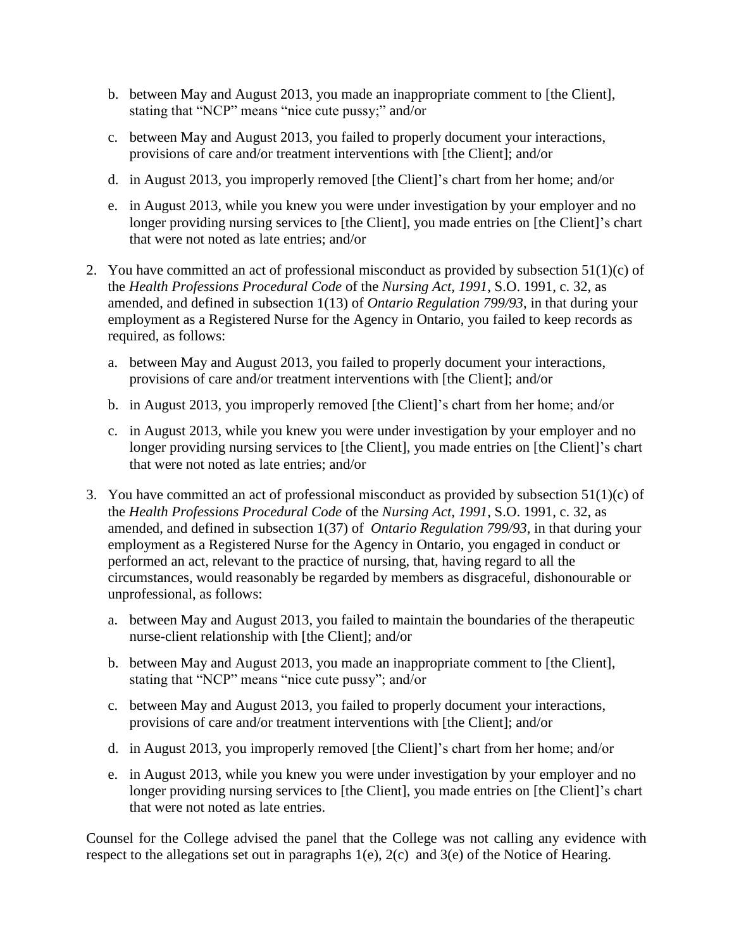- b. between May and August 2013, you made an inappropriate comment to [the Client], stating that "NCP" means "nice cute pussy;" and/or
- c. between May and August 2013, you failed to properly document your interactions, provisions of care and/or treatment interventions with [the Client]; and/or
- d. in August 2013, you improperly removed [the Client]'s chart from her home; and/or
- e. in August 2013, while you knew you were under investigation by your employer and no longer providing nursing services to [the Client], you made entries on [the Client]'s chart that were not noted as late entries; and/or
- 2. You have committed an act of professional misconduct as provided by subsection 51(1)(c) of the *Health Professions Procedural Code* of the *Nursing Act, 1991*, S.O. 1991, c. 32, as amended, and defined in subsection 1(13) of *Ontario Regulation 799/93*, in that during your employment as a Registered Nurse for the Agency in Ontario, you failed to keep records as required, as follows:
	- a. between May and August 2013, you failed to properly document your interactions, provisions of care and/or treatment interventions with [the Client]; and/or
	- b. in August 2013, you improperly removed [the Client]'s chart from her home; and/or
	- c. in August 2013, while you knew you were under investigation by your employer and no longer providing nursing services to [the Client], you made entries on [the Client]'s chart that were not noted as late entries; and/or
- 3. You have committed an act of professional misconduct as provided by subsection 51(1)(c) of the *Health Professions Procedural Code* of the *Nursing Act, 1991*, S.O. 1991, c. 32, as amended, and defined in subsection 1(37) of *Ontario Regulation 799/93*, in that during your employment as a Registered Nurse for the Agency in Ontario, you engaged in conduct or performed an act, relevant to the practice of nursing, that, having regard to all the circumstances, would reasonably be regarded by members as disgraceful, dishonourable or unprofessional, as follows:
	- a. between May and August 2013, you failed to maintain the boundaries of the therapeutic nurse-client relationship with [the Client]; and/or
	- b. between May and August 2013, you made an inappropriate comment to [the Client], stating that "NCP" means "nice cute pussy"; and/or
	- c. between May and August 2013, you failed to properly document your interactions, provisions of care and/or treatment interventions with [the Client]; and/or
	- d. in August 2013, you improperly removed [the Client]'s chart from her home; and/or
	- e. in August 2013, while you knew you were under investigation by your employer and no longer providing nursing services to [the Client], you made entries on [the Client]'s chart that were not noted as late entries.

Counsel for the College advised the panel that the College was not calling any evidence with respect to the allegations set out in paragraphs 1(e), 2(c) and 3(e) of the Notice of Hearing.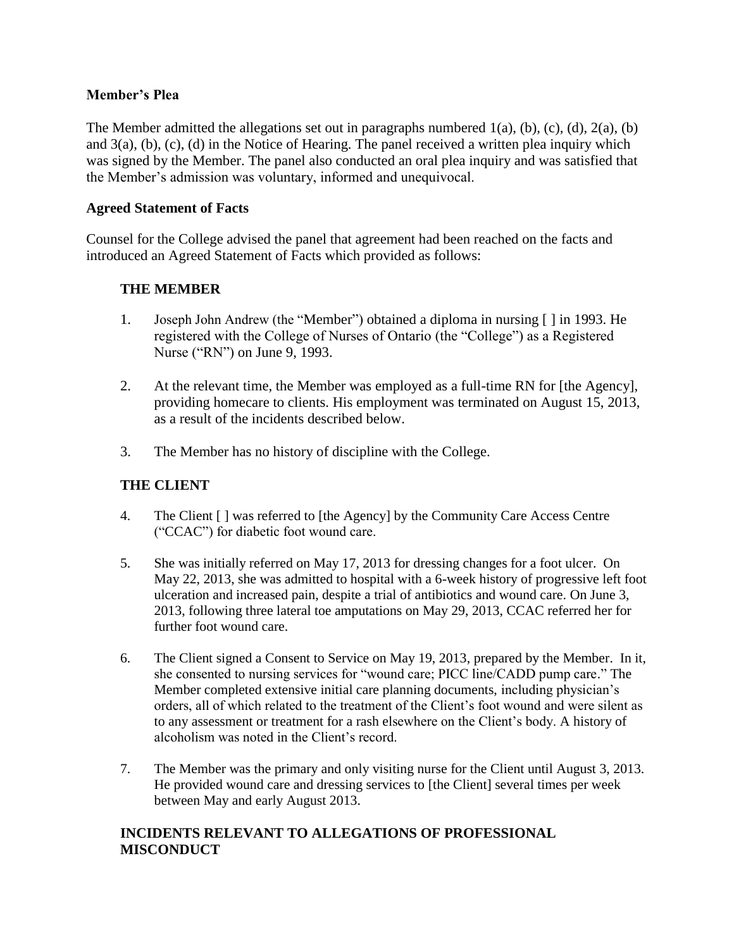### **Member's Plea**

The Member admitted the allegations set out in paragraphs numbered 1(a), (b), (c), (d), 2(a), (b) and  $3(a)$ , (b), (c), (d) in the Notice of Hearing. The panel received a written plea inquiry which was signed by the Member. The panel also conducted an oral plea inquiry and was satisfied that the Member's admission was voluntary, informed and unequivocal.

## **Agreed Statement of Facts**

Counsel for the College advised the panel that agreement had been reached on the facts and introduced an Agreed Statement of Facts which provided as follows:

## **THE MEMBER**

- 1. Joseph John Andrew (the "Member") obtained a diploma in nursing [ ] in 1993. He registered with the College of Nurses of Ontario (the "College") as a Registered Nurse ("RN") on June 9, 1993.
- 2. At the relevant time, the Member was employed as a full-time RN for [the Agency], providing homecare to clients. His employment was terminated on August 15, 2013, as a result of the incidents described below.
- 3. The Member has no history of discipline with the College.

# **THE CLIENT**

- 4. The Client [ ] was referred to [the Agency] by the Community Care Access Centre ("CCAC") for diabetic foot wound care.
- 5. She was initially referred on May 17, 2013 for dressing changes for a foot ulcer. On May 22, 2013, she was admitted to hospital with a 6-week history of progressive left foot ulceration and increased pain, despite a trial of antibiotics and wound care. On June 3, 2013, following three lateral toe amputations on May 29, 2013, CCAC referred her for further foot wound care.
- 6. The Client signed a Consent to Service on May 19, 2013, prepared by the Member. In it, she consented to nursing services for "wound care; PICC line/CADD pump care." The Member completed extensive initial care planning documents, including physician's orders, all of which related to the treatment of the Client's foot wound and were silent as to any assessment or treatment for a rash elsewhere on the Client's body. A history of alcoholism was noted in the Client's record.
- 7. The Member was the primary and only visiting nurse for the Client until August 3, 2013. He provided wound care and dressing services to [the Client] several times per week between May and early August 2013.

# **INCIDENTS RELEVANT TO ALLEGATIONS OF PROFESSIONAL MISCONDUCT**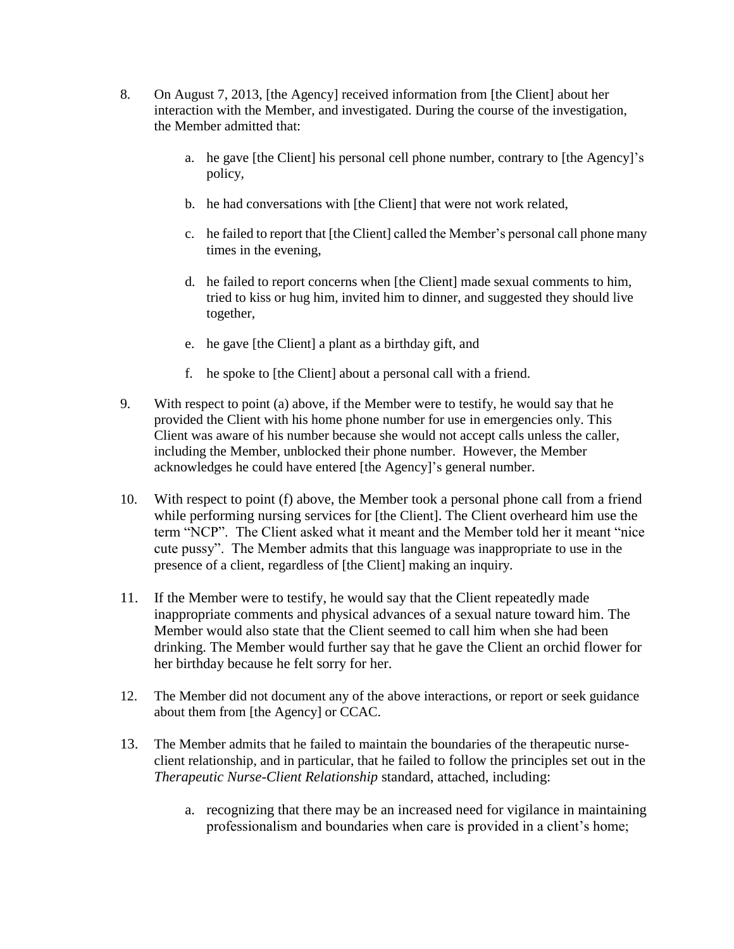- 8. On August 7, 2013, [the Agency] received information from [the Client] about her interaction with the Member, and investigated. During the course of the investigation, the Member admitted that:
	- a. he gave [the Client] his personal cell phone number, contrary to [the Agency]'s policy,
	- b. he had conversations with [the Client] that were not work related,
	- c. he failed to report that [the Client] called the Member's personal call phone many times in the evening,
	- d. he failed to report concerns when [the Client] made sexual comments to him, tried to kiss or hug him, invited him to dinner, and suggested they should live together,
	- e. he gave [the Client] a plant as a birthday gift, and
	- f. he spoke to [the Client] about a personal call with a friend.
- 9. With respect to point (a) above, if the Member were to testify, he would say that he provided the Client with his home phone number for use in emergencies only. This Client was aware of his number because she would not accept calls unless the caller, including the Member, unblocked their phone number. However, the Member acknowledges he could have entered [the Agency]'s general number.
- 10. With respect to point (f) above, the Member took a personal phone call from a friend while performing nursing services for [the Client]. The Client overheard him use the term "NCP". The Client asked what it meant and the Member told her it meant "nice cute pussy". The Member admits that this language was inappropriate to use in the presence of a client, regardless of [the Client] making an inquiry.
- 11. If the Member were to testify, he would say that the Client repeatedly made inappropriate comments and physical advances of a sexual nature toward him. The Member would also state that the Client seemed to call him when she had been drinking. The Member would further say that he gave the Client an orchid flower for her birthday because he felt sorry for her.
- 12. The Member did not document any of the above interactions, or report or seek guidance about them from [the Agency] or CCAC.
- 13. The Member admits that he failed to maintain the boundaries of the therapeutic nurseclient relationship, and in particular, that he failed to follow the principles set out in the *Therapeutic Nurse-Client Relationship* standard, attached, including:
	- a. recognizing that there may be an increased need for vigilance in maintaining professionalism and boundaries when care is provided in a client's home;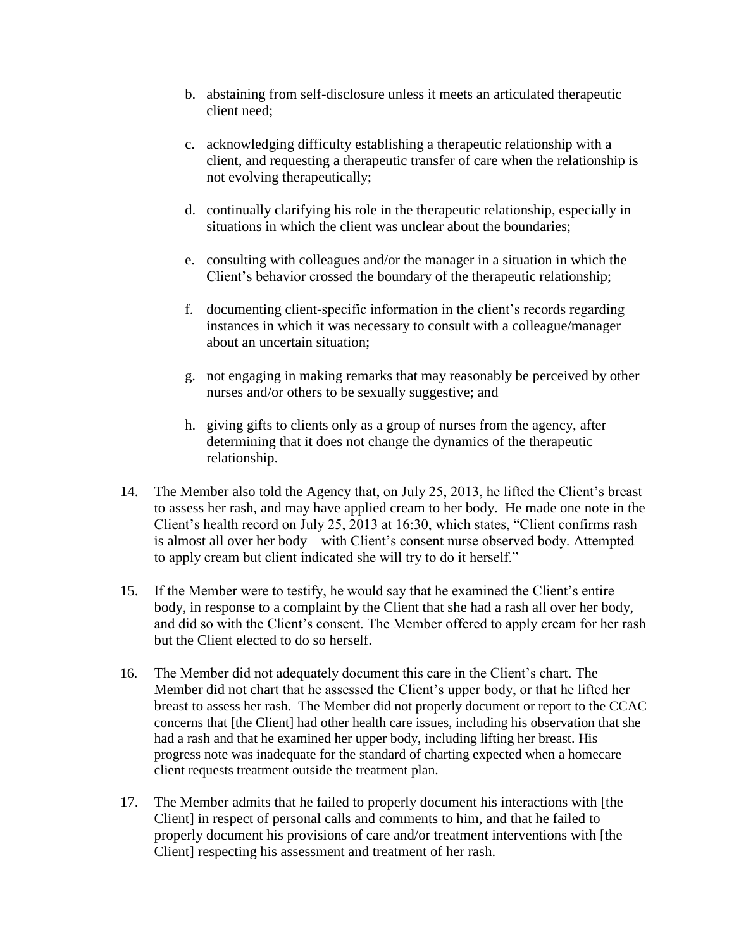- b. abstaining from self-disclosure unless it meets an articulated therapeutic client need;
- c. acknowledging difficulty establishing a therapeutic relationship with a client, and requesting a therapeutic transfer of care when the relationship is not evolving therapeutically;
- d. continually clarifying his role in the therapeutic relationship, especially in situations in which the client was unclear about the boundaries;
- e. consulting with colleagues and/or the manager in a situation in which the Client's behavior crossed the boundary of the therapeutic relationship;
- f. documenting client-specific information in the client's records regarding instances in which it was necessary to consult with a colleague/manager about an uncertain situation;
- g. not engaging in making remarks that may reasonably be perceived by other nurses and/or others to be sexually suggestive; and
- h. giving gifts to clients only as a group of nurses from the agency, after determining that it does not change the dynamics of the therapeutic relationship.
- 14. The Member also told the Agency that, on July 25, 2013, he lifted the Client's breast to assess her rash, and may have applied cream to her body. He made one note in the Client's health record on July 25, 2013 at 16:30, which states, "Client confirms rash is almost all over her body – with Client's consent nurse observed body. Attempted to apply cream but client indicated she will try to do it herself."
- 15. If the Member were to testify, he would say that he examined the Client's entire body, in response to a complaint by the Client that she had a rash all over her body, and did so with the Client's consent. The Member offered to apply cream for her rash but the Client elected to do so herself.
- 16. The Member did not adequately document this care in the Client's chart. The Member did not chart that he assessed the Client's upper body, or that he lifted her breast to assess her rash. The Member did not properly document or report to the CCAC concerns that [the Client] had other health care issues, including his observation that she had a rash and that he examined her upper body, including lifting her breast. His progress note was inadequate for the standard of charting expected when a homecare client requests treatment outside the treatment plan.
- 17. The Member admits that he failed to properly document his interactions with [the Client] in respect of personal calls and comments to him, and that he failed to properly document his provisions of care and/or treatment interventions with [the Client] respecting his assessment and treatment of her rash.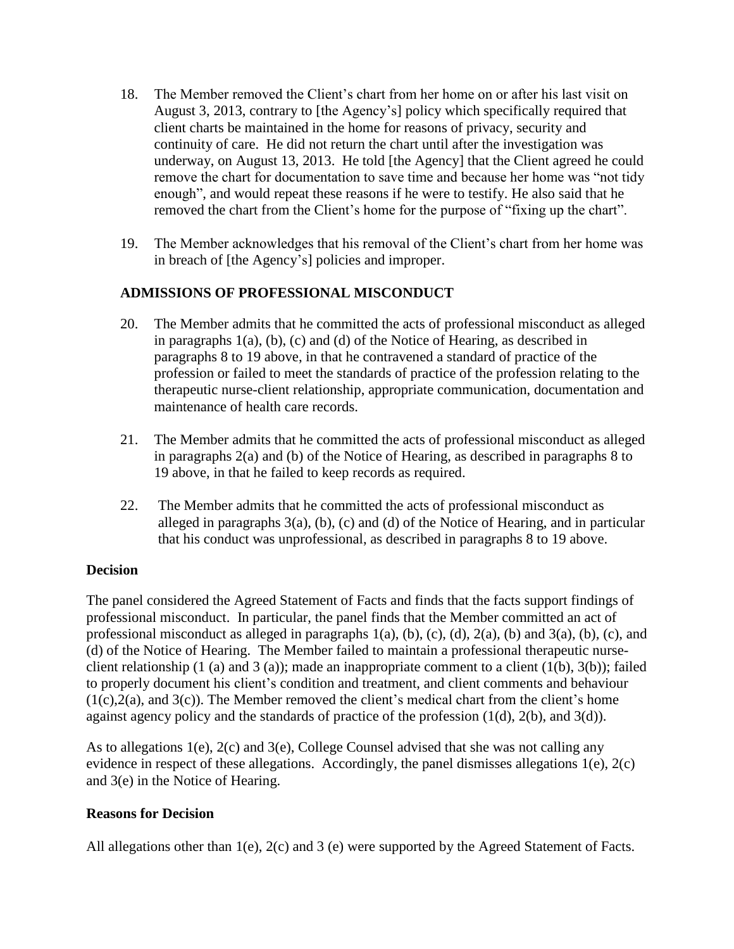- 18. The Member removed the Client's chart from her home on or after his last visit on August 3, 2013, contrary to [the Agency's] policy which specifically required that client charts be maintained in the home for reasons of privacy, security and continuity of care. He did not return the chart until after the investigation was underway, on August 13, 2013. He told [the Agency] that the Client agreed he could remove the chart for documentation to save time and because her home was "not tidy enough", and would repeat these reasons if he were to testify. He also said that he removed the chart from the Client's home for the purpose of "fixing up the chart".
- 19. The Member acknowledges that his removal of the Client's chart from her home was in breach of [the Agency's] policies and improper.

# **ADMISSIONS OF PROFESSIONAL MISCONDUCT**

- 20. The Member admits that he committed the acts of professional misconduct as alleged in paragraphs 1(a), (b), (c) and (d) of the Notice of Hearing, as described in paragraphs 8 to 19 above, in that he contravened a standard of practice of the profession or failed to meet the standards of practice of the profession relating to the therapeutic nurse-client relationship, appropriate communication, documentation and maintenance of health care records.
- 21. The Member admits that he committed the acts of professional misconduct as alleged in paragraphs 2(a) and (b) of the Notice of Hearing, as described in paragraphs 8 to 19 above, in that he failed to keep records as required.
- 22. The Member admits that he committed the acts of professional misconduct as alleged in paragraphs 3(a), (b), (c) and (d) of the Notice of Hearing, and in particular that his conduct was unprofessional, as described in paragraphs 8 to 19 above.

### **Decision**

The panel considered the Agreed Statement of Facts and finds that the facts support findings of professional misconduct. In particular, the panel finds that the Member committed an act of professional misconduct as alleged in paragraphs  $1(a)$ ,  $(b)$ ,  $(c)$ ,  $(d)$ ,  $2(a)$ ,  $(b)$  and  $3(a)$ ,  $(b)$ ,  $(c)$ , and (d) of the Notice of Hearing. The Member failed to maintain a professional therapeutic nurseclient relationship  $(1 \text{ (a) and } 3 \text{ (a)})$ ; made an inappropriate comment to a client  $(1(b), 3(b))$ ; failed to properly document his client's condition and treatment, and client comments and behaviour  $(1(c),2(a))$ , and  $3(c)$ ). The Member removed the client's medical chart from the client's home against agency policy and the standards of practice of the profession  $(1(d), 2(b),$  and  $3(d))$ .

As to allegations  $1(e)$ ,  $2(c)$  and  $3(e)$ , College Counsel advised that she was not calling any evidence in respect of these allegations. Accordingly, the panel dismisses allegations 1(e), 2(c) and 3(e) in the Notice of Hearing.

### **Reasons for Decision**

All allegations other than 1(e), 2(c) and 3 (e) were supported by the Agreed Statement of Facts.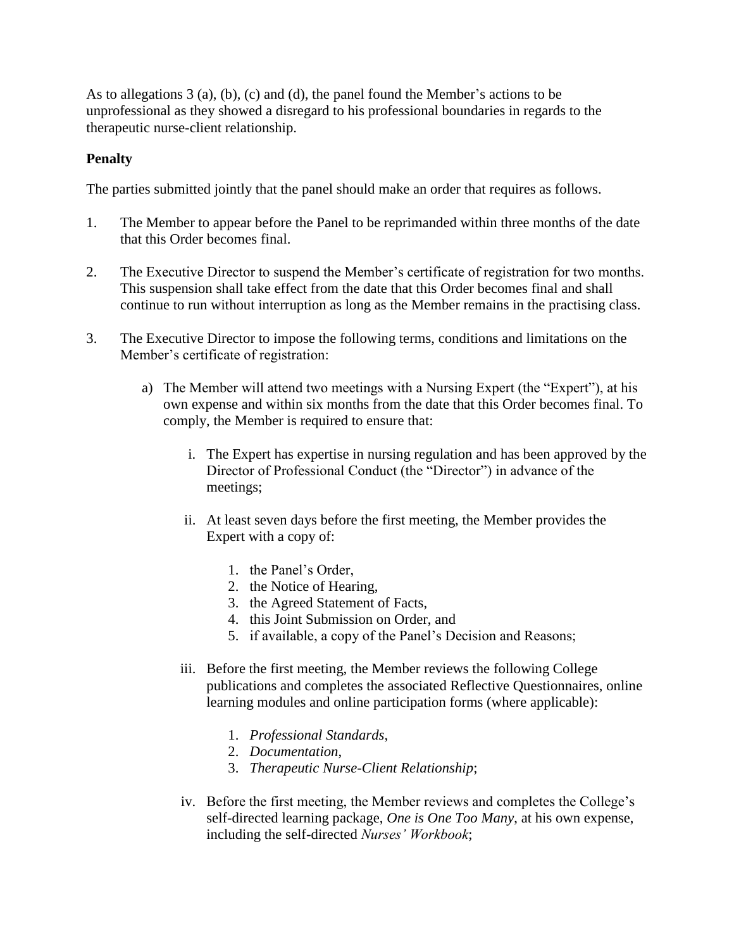As to allegations 3 (a), (b), (c) and (d), the panel found the Member's actions to be unprofessional as they showed a disregard to his professional boundaries in regards to the therapeutic nurse-client relationship.

## **Penalty**

The parties submitted jointly that the panel should make an order that requires as follows.

- 1. The Member to appear before the Panel to be reprimanded within three months of the date that this Order becomes final.
- 2. The Executive Director to suspend the Member's certificate of registration for two months. This suspension shall take effect from the date that this Order becomes final and shall continue to run without interruption as long as the Member remains in the practising class.
- 3. The Executive Director to impose the following terms, conditions and limitations on the Member's certificate of registration:
	- a) The Member will attend two meetings with a Nursing Expert (the "Expert"), at his own expense and within six months from the date that this Order becomes final. To comply, the Member is required to ensure that:
		- i. The Expert has expertise in nursing regulation and has been approved by the Director of Professional Conduct (the "Director") in advance of the meetings;
		- ii. At least seven days before the first meeting, the Member provides the Expert with a copy of:
			- 1. the Panel's Order,
			- 2. the Notice of Hearing,
			- 3. the Agreed Statement of Facts,
			- 4. this Joint Submission on Order, and
			- 5. if available, a copy of the Panel's Decision and Reasons;
		- iii. Before the first meeting, the Member reviews the following College publications and completes the associated Reflective Questionnaires, online learning modules and online participation forms (where applicable):
			- 1. *Professional Standards*,
			- 2. *Documentation*,
			- 3. *Therapeutic Nurse-Client Relationship*;
		- iv. Before the first meeting, the Member reviews and completes the College's self-directed learning package, *One is One Too Many*, at his own expense, including the self-directed *Nurses' Workbook*;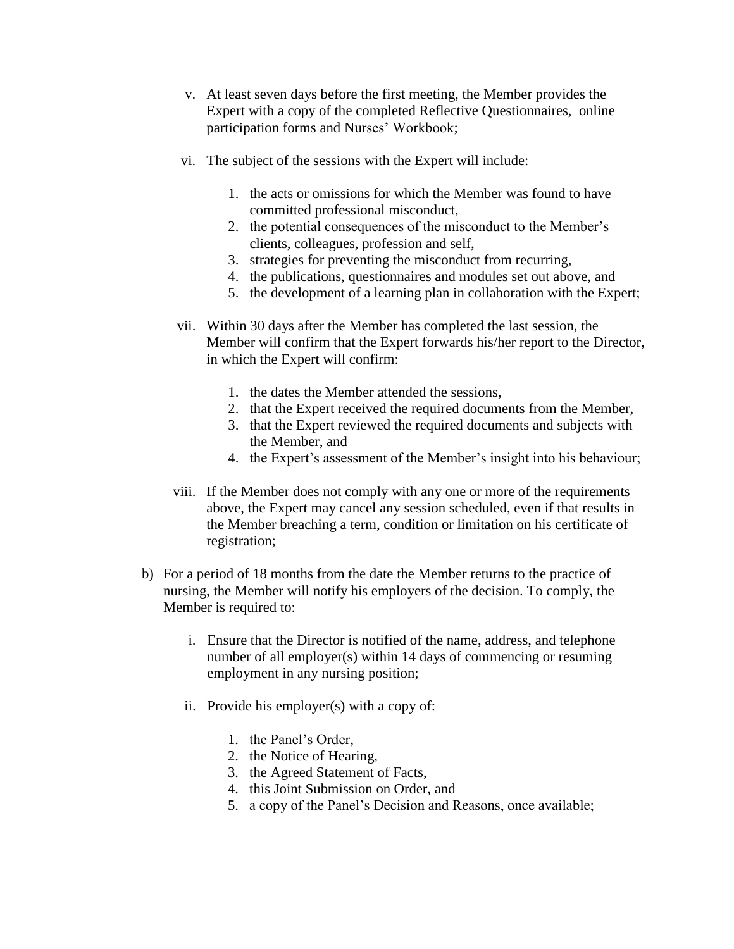- v. At least seven days before the first meeting, the Member provides the Expert with a copy of the completed Reflective Questionnaires, online participation forms and Nurses' Workbook;
- vi. The subject of the sessions with the Expert will include:
	- 1. the acts or omissions for which the Member was found to have committed professional misconduct,
	- 2. the potential consequences of the misconduct to the Member's clients, colleagues, profession and self,
	- 3. strategies for preventing the misconduct from recurring,
	- 4. the publications, questionnaires and modules set out above, and
	- 5. the development of a learning plan in collaboration with the Expert;
- vii. Within 30 days after the Member has completed the last session, the Member will confirm that the Expert forwards his/her report to the Director, in which the Expert will confirm:
	- 1. the dates the Member attended the sessions,
	- 2. that the Expert received the required documents from the Member,
	- 3. that the Expert reviewed the required documents and subjects with the Member, and
	- 4. the Expert's assessment of the Member's insight into his behaviour;
- viii. If the Member does not comply with any one or more of the requirements above, the Expert may cancel any session scheduled, even if that results in the Member breaching a term, condition or limitation on his certificate of registration;
- b) For a period of 18 months from the date the Member returns to the practice of nursing, the Member will notify his employers of the decision. To comply, the Member is required to:
	- i. Ensure that the Director is notified of the name, address, and telephone number of all employer(s) within 14 days of commencing or resuming employment in any nursing position;
	- ii. Provide his employer(s) with a copy of:
		- 1. the Panel's Order,
		- 2. the Notice of Hearing,
		- 3. the Agreed Statement of Facts,
		- 4. this Joint Submission on Order, and
		- 5. a copy of the Panel's Decision and Reasons, once available;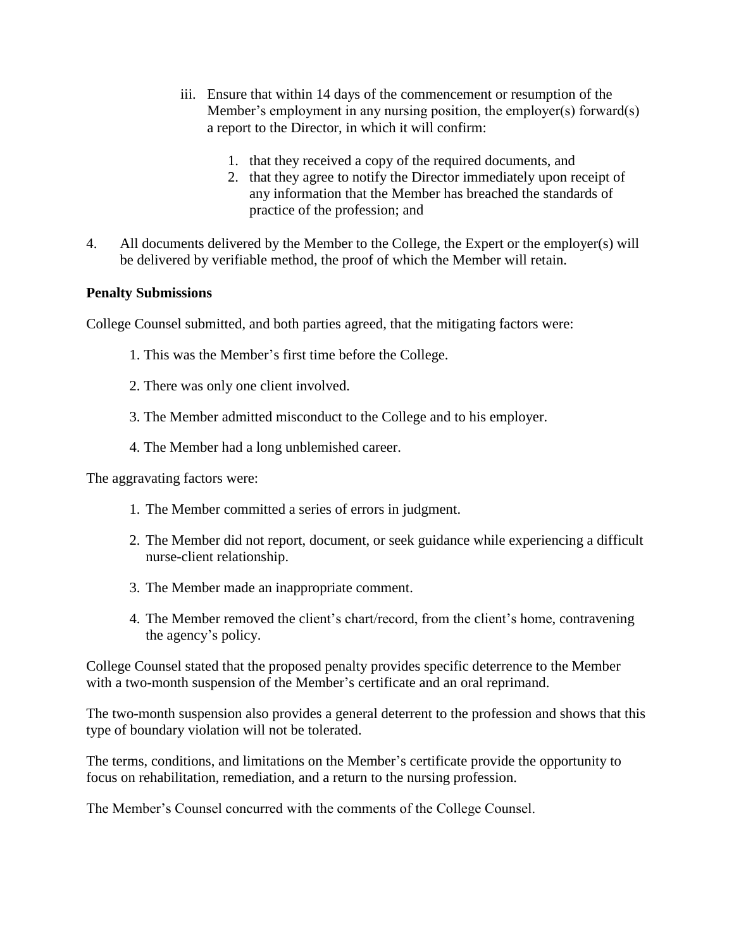- iii. Ensure that within 14 days of the commencement or resumption of the Member's employment in any nursing position, the employer(s) forward(s) a report to the Director, in which it will confirm:
	- 1. that they received a copy of the required documents, and
	- 2. that they agree to notify the Director immediately upon receipt of any information that the Member has breached the standards of practice of the profession; and
- 4. All documents delivered by the Member to the College, the Expert or the employer(s) will be delivered by verifiable method, the proof of which the Member will retain.

### **Penalty Submissions**

College Counsel submitted, and both parties agreed, that the mitigating factors were:

- 1. This was the Member's first time before the College.
- 2. There was only one client involved.
- 3. The Member admitted misconduct to the College and to his employer.
- 4. The Member had a long unblemished career.

The aggravating factors were:

- 1. The Member committed a series of errors in judgment.
- 2. The Member did not report, document, or seek guidance while experiencing a difficult nurse-client relationship.
- 3. The Member made an inappropriate comment.
- 4. The Member removed the client's chart/record, from the client's home, contravening the agency's policy.

College Counsel stated that the proposed penalty provides specific deterrence to the Member with a two-month suspension of the Member's certificate and an oral reprimand.

The two-month suspension also provides a general deterrent to the profession and shows that this type of boundary violation will not be tolerated.

The terms, conditions, and limitations on the Member's certificate provide the opportunity to focus on rehabilitation, remediation, and a return to the nursing profession.

The Member's Counsel concurred with the comments of the College Counsel.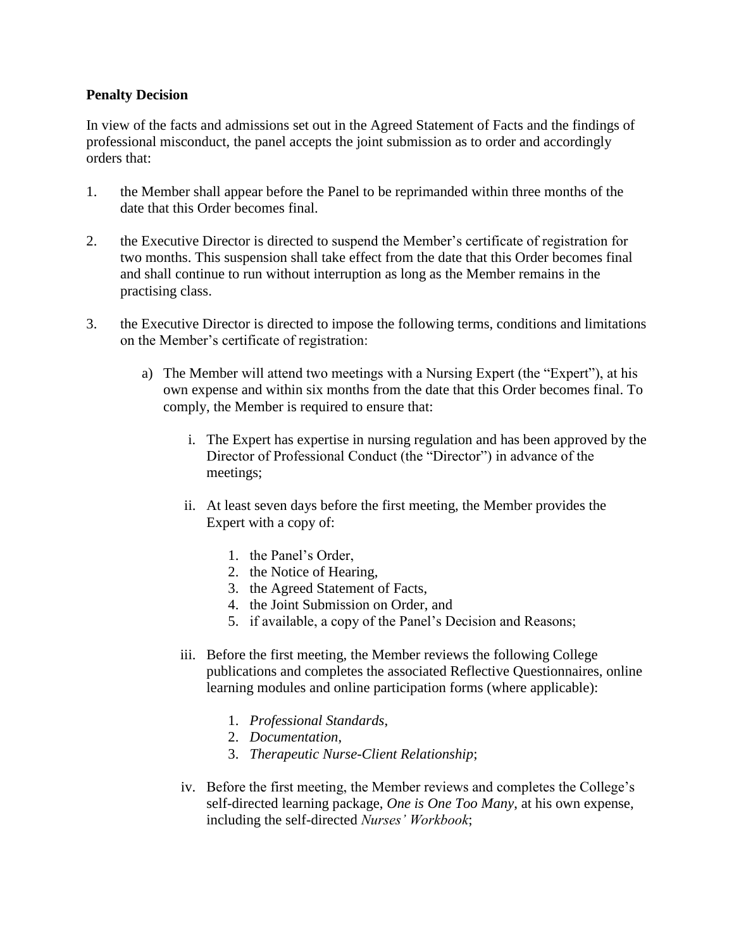### **Penalty Decision**

In view of the facts and admissions set out in the Agreed Statement of Facts and the findings of professional misconduct, the panel accepts the joint submission as to order and accordingly orders that:

- 1. the Member shall appear before the Panel to be reprimanded within three months of the date that this Order becomes final.
- 2. the Executive Director is directed to suspend the Member's certificate of registration for two months. This suspension shall take effect from the date that this Order becomes final and shall continue to run without interruption as long as the Member remains in the practising class.
- 3. the Executive Director is directed to impose the following terms, conditions and limitations on the Member's certificate of registration:
	- a) The Member will attend two meetings with a Nursing Expert (the "Expert"), at his own expense and within six months from the date that this Order becomes final. To comply, the Member is required to ensure that:
		- i. The Expert has expertise in nursing regulation and has been approved by the Director of Professional Conduct (the "Director") in advance of the meetings;
		- ii. At least seven days before the first meeting, the Member provides the Expert with a copy of:
			- 1. the Panel's Order,
			- 2. the Notice of Hearing,
			- 3. the Agreed Statement of Facts,
			- 4. the Joint Submission on Order, and
			- 5. if available, a copy of the Panel's Decision and Reasons;
		- iii. Before the first meeting, the Member reviews the following College publications and completes the associated Reflective Questionnaires, online learning modules and online participation forms (where applicable):
			- 1. *Professional Standards*,
			- 2. *Documentation*,
			- 3. *Therapeutic Nurse-Client Relationship*;
		- iv. Before the first meeting, the Member reviews and completes the College's self-directed learning package, *One is One Too Many*, at his own expense, including the self-directed *Nurses' Workbook*;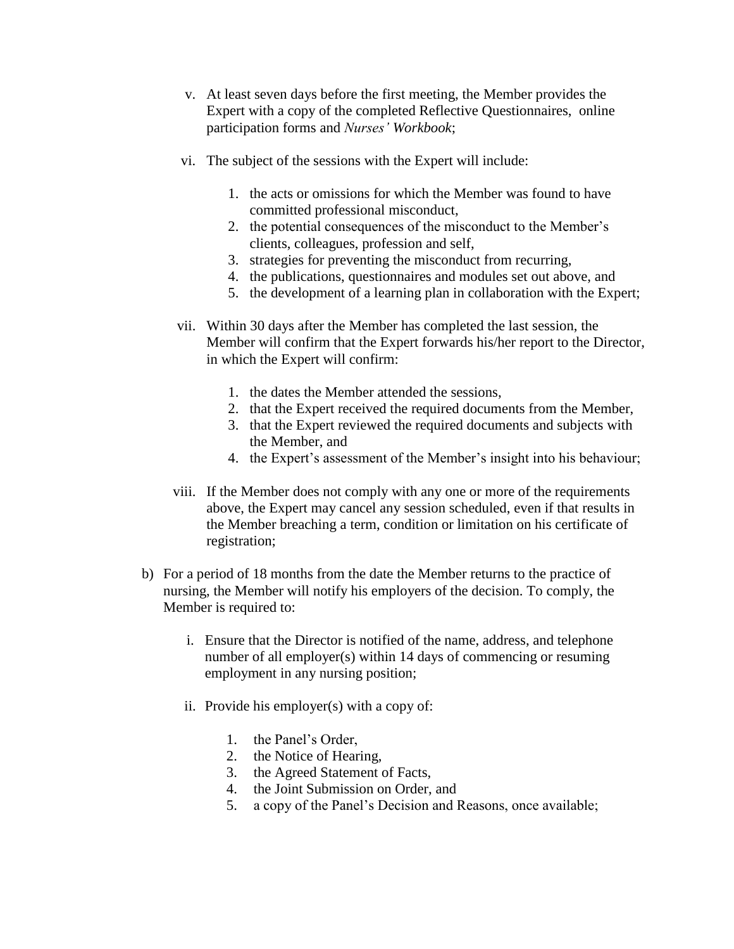- v. At least seven days before the first meeting, the Member provides the Expert with a copy of the completed Reflective Questionnaires, online participation forms and *Nurses' Workbook*;
- vi. The subject of the sessions with the Expert will include:
	- 1. the acts or omissions for which the Member was found to have committed professional misconduct,
	- 2. the potential consequences of the misconduct to the Member's clients, colleagues, profession and self,
	- 3. strategies for preventing the misconduct from recurring,
	- 4. the publications, questionnaires and modules set out above, and
	- 5. the development of a learning plan in collaboration with the Expert;
- vii. Within 30 days after the Member has completed the last session, the Member will confirm that the Expert forwards his/her report to the Director, in which the Expert will confirm:
	- 1. the dates the Member attended the sessions,
	- 2. that the Expert received the required documents from the Member,
	- 3. that the Expert reviewed the required documents and subjects with the Member, and
	- 4. the Expert's assessment of the Member's insight into his behaviour;
- viii. If the Member does not comply with any one or more of the requirements above, the Expert may cancel any session scheduled, even if that results in the Member breaching a term, condition or limitation on his certificate of registration;
- b) For a period of 18 months from the date the Member returns to the practice of nursing, the Member will notify his employers of the decision. To comply, the Member is required to:
	- i. Ensure that the Director is notified of the name, address, and telephone number of all employer(s) within 14 days of commencing or resuming employment in any nursing position;
	- ii. Provide his employer(s) with a copy of:
		- 1. the Panel's Order,
		- 2. the Notice of Hearing,
		- 3. the Agreed Statement of Facts,
		- 4. the Joint Submission on Order, and
		- 5. a copy of the Panel's Decision and Reasons, once available;